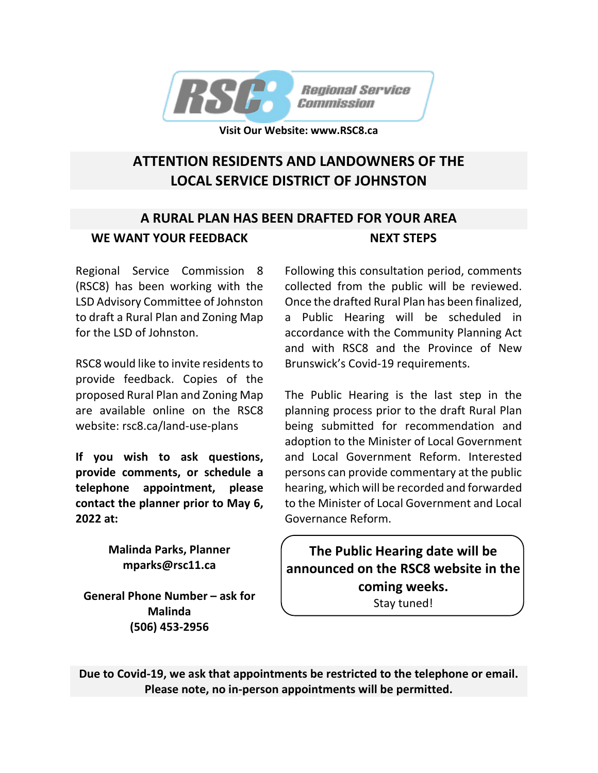

**Visit Our Website: www.RSC8.ca**

## **ATTENTION RESIDENTS AND LANDOWNERS OF THE LOCAL SERVICE DISTRICT OF JOHNSTON**

#### **A RURAL PLAN HAS BEEN DRAFTED FOR YOUR AREA WE WANT YOUR FEEDBACK NEXT STEPS**

Regional Service Commission 8 (RSC8) has been working with the LSD Advisory Committee of Johnston to draft a Rural Plan and Zoning Map for the LSD of Johnston.

RSC8 would like to invite residents to provide feedback. Copies of the proposed Rural Plan and Zoning Map are available online on the RSC8 website: rsc8.ca/land-use-plans

**If you wish to ask questions, provide comments, or schedule a telephone appointment, please contact the planner prior to May 6, 2022 at:**

> **Malinda Parks, Planner mparks@rsc11.ca**

**General Phone Number – ask for Malinda (506) 453-2956**

Following this consultation period, comments collected from the public will be reviewed. Once the drafted Rural Plan has been finalized, a Public Hearing will be scheduled in accordance with the Community Planning Act and with RSC8 and the Province of New Brunswick's Covid-19 requirements.

The Public Hearing is the last step in the planning process prior to the draft Rural Plan being submitted for recommendation and adoption to the Minister of Local Government and Local Government Reform. Interested persons can provide commentary at the public hearing, which will be recorded and forwarded to the Minister of Local Government and Local Governance Reform.

**The Public Hearing date will be announced on the RSC8 website in the coming weeks.** Stay tuned!

**Due to Covid-19, we ask that appointments be restricted to the telephone or email. Please note, no in-person appointments will be permitted.**